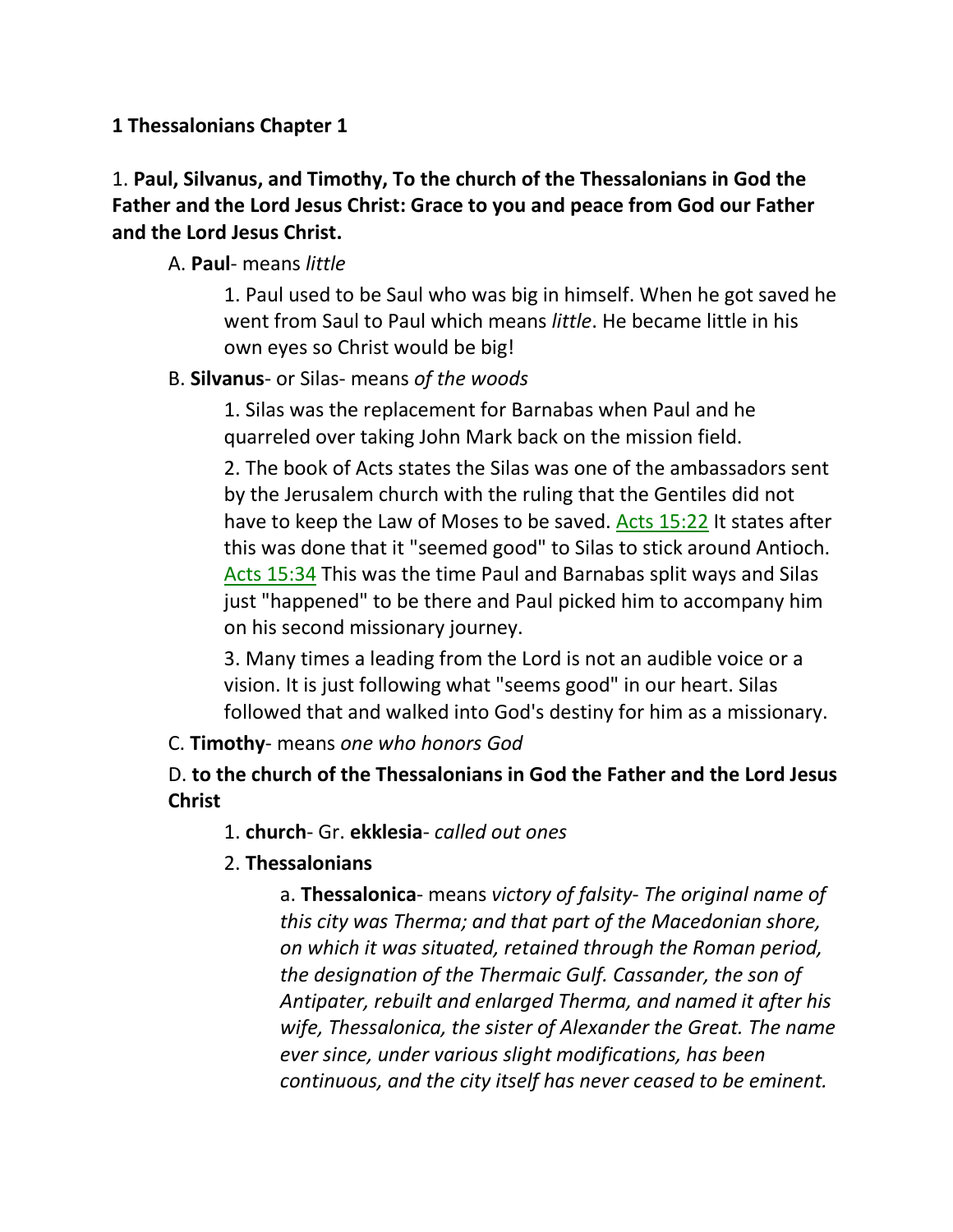## **1 Thessalonians Chapter 1**

# 1. **Paul, Silvanus, and Timothy, To the church of the Thessalonians in God the Father and the Lord Jesus Christ: Grace to you and peace from God our Father and the Lord Jesus Christ.**

## A. **Paul**- means *little*

1. Paul used to be Saul who was big in himself. When he got saved he went from Saul to Paul which means *little*. He became little in his own eyes so Christ would be big!

## B. **Silvanus**- or Silas- means *of the woods*

1. Silas was the replacement for Barnabas when Paul and he quarreled over taking John Mark back on the mission field.

2. The book of Acts states the Silas was one of the ambassadors sent by the Jerusalem church with the ruling that the Gentiles did not have to keep the Law of Moses to be saved. Acts 15:22 It states after this was done that it "seemed good" to Silas to stick around Antioch. Acts 15:34 This was the time Paul and Barnabas split ways and Silas just "happened" to be there and Paul picked him to accompany him on his second missionary journey.

3. Many times a leading from the Lord is not an audible voice or a vision. It is just following what "seems good" in our heart. Silas followed that and walked into God's destiny for him as a missionary.

## C. **Timothy**- means *one who honors God*

# D. **to the church of the Thessalonians in God the Father and the Lord Jesus Christ**

## 1. **church**- Gr. **ekklesia**- *called out ones*

# 2. **Thessalonians**

a. **Thessalonica**- means *victory of falsity*- *The original name of this city was Therma; and that part of the Macedonian shore, on which it was situated, retained through the Roman period, the designation of the Thermaic Gulf. Cassander, the son of Antipater, rebuilt and enlarged Therma, and named it after his wife, Thessalonica, the sister of Alexander the Great. The name ever since, under various slight modifications, has been continuous, and the city itself has never ceased to be eminent.*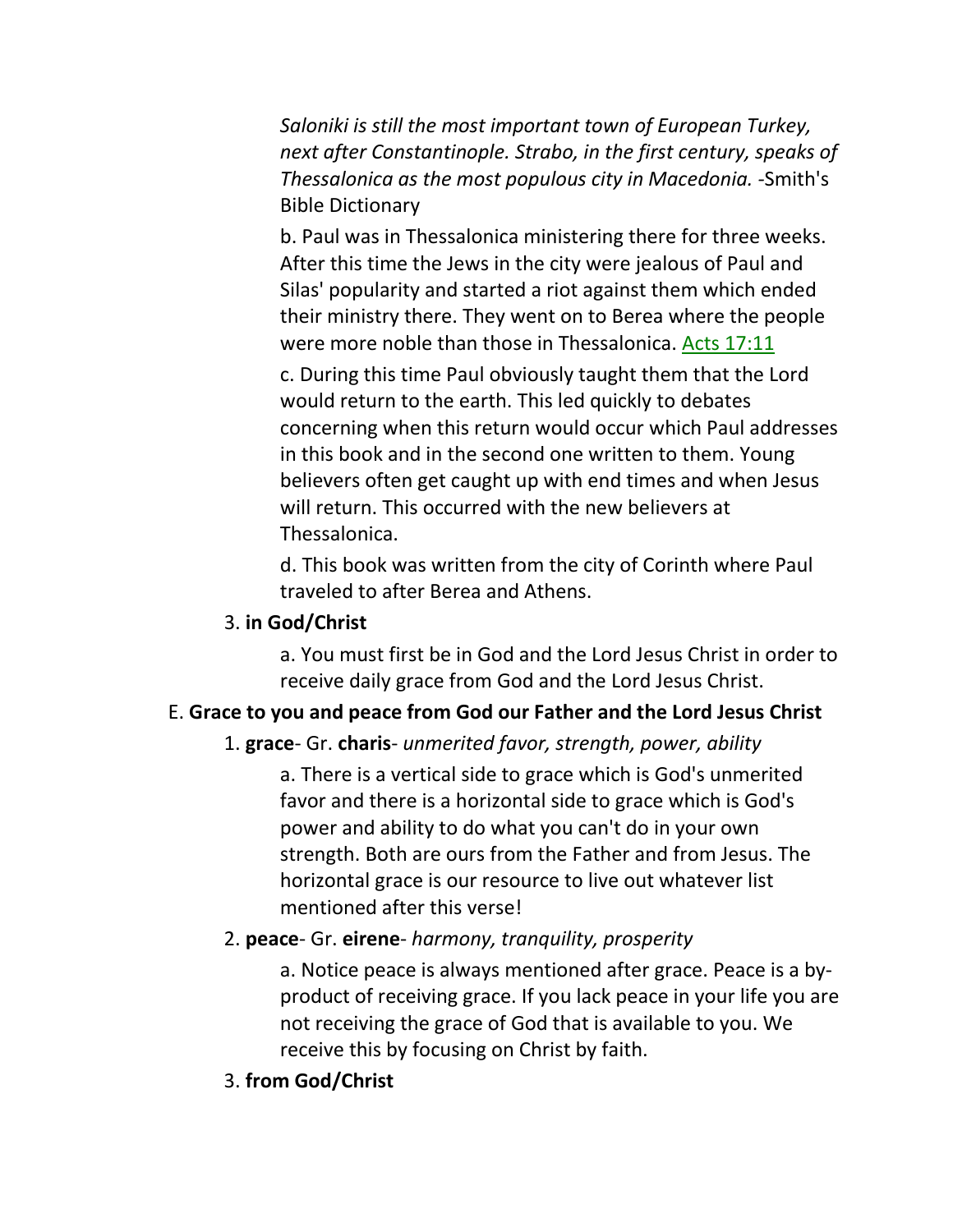*Saloniki is still the most important town of European Turkey, next after Constantinople. Strabo, in the first century, speaks of Thessalonica as the most populous city in Macedonia. -*Smith's Bible Dictionary

b. Paul was in Thessalonica ministering there for three weeks. After this time the Jews in the city were jealous of Paul and Silas' popularity and started a riot against them which ended their ministry there. They went on to Berea where the people were more noble than those in Thessalonica. Acts 17:11

c. During this time Paul obviously taught them that the Lord would return to the earth. This led quickly to debates concerning when this return would occur which Paul addresses in this book and in the second one written to them. Young believers often get caught up with end times and when Jesus will return. This occurred with the new believers at Thessalonica.

d. This book was written from the city of Corinth where Paul traveled to after Berea and Athens.

## 3. **in God/Christ**

a. You must first be in God and the Lord Jesus Christ in order to receive daily grace from God and the Lord Jesus Christ.

# E. **Grace to you and peace from God our Father and the Lord Jesus Christ**

## 1. **grace**- Gr. **charis**- *unmerited favor, strength, power, ability*

a. There is a vertical side to grace which is God's unmerited favor and there is a horizontal side to grace which is God's power and ability to do what you can't do in your own strength. Both are ours from the Father and from Jesus. The horizontal grace is our resource to live out whatever list mentioned after this verse!

# 2. **peace**- Gr. **eirene**- *harmony, tranquility, prosperity*

a. Notice peace is always mentioned after grace. Peace is a byproduct of receiving grace. If you lack peace in your life you are not receiving the grace of God that is available to you. We receive this by focusing on Christ by faith.

3. **from God/Christ**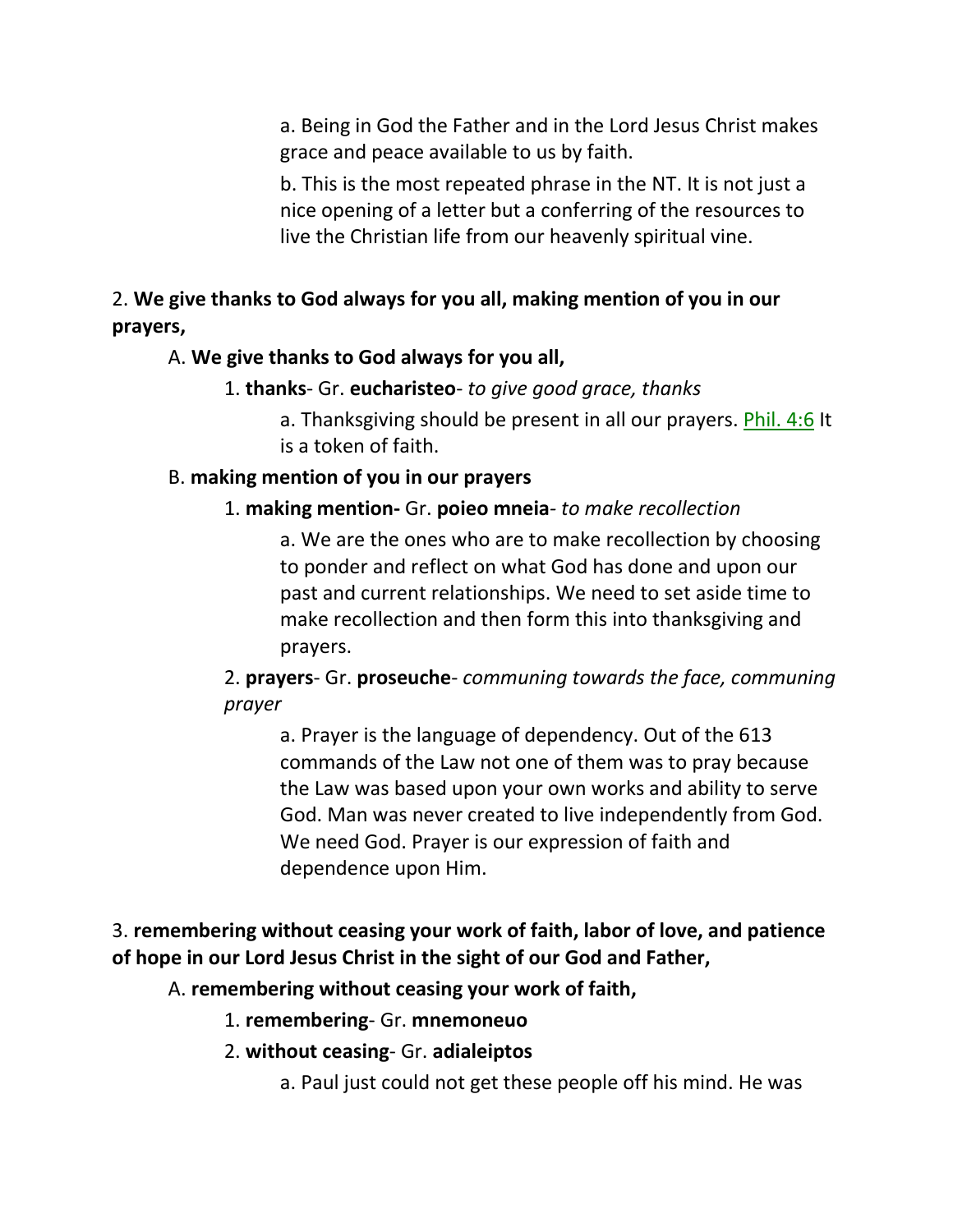a. Being in God the Father and in the Lord Jesus Christ makes grace and peace available to us by faith.

b. This is the most repeated phrase in the NT. It is not just a nice opening of a letter but a conferring of the resources to live the Christian life from our heavenly spiritual vine.

2. **We give thanks to God always for you all, making mention of you in our prayers,**

## A. **We give thanks to God always for you all,**

# 1. **thanks**- Gr. **eucharisteo**- *to give good grace, thanks*

a. Thanksgiving should be present in all our prayers. Phil. 4:6 It is a token of faith.

## B. **making mention of you in our prayers**

## 1. **making mention-** Gr. **poieo mneia***- to make recollection*

a. We are the ones who are to make recollection by choosing to ponder and reflect on what God has done and upon our past and current relationships. We need to set aside time to make recollection and then form this into thanksgiving and prayers.

2. **prayers**- Gr. **proseuche**- *communing towards the face, communing prayer*

a. Prayer is the language of dependency. Out of the 613 commands of the Law not one of them was to pray because the Law was based upon your own works and ability to serve God. Man was never created to live independently from God. We need God. Prayer is our expression of faith and dependence upon Him.

# 3. **remembering without ceasing your work of faith, labor of love, and patience of hope in our Lord Jesus Christ in the sight of our God and Father,**

# A. **remembering without ceasing your work of faith,**

- 1. **remembering** Gr. **mnemoneuo**
- 2. **without ceasing** Gr. **adialeiptos**
	- a. Paul just could not get these people off his mind. He was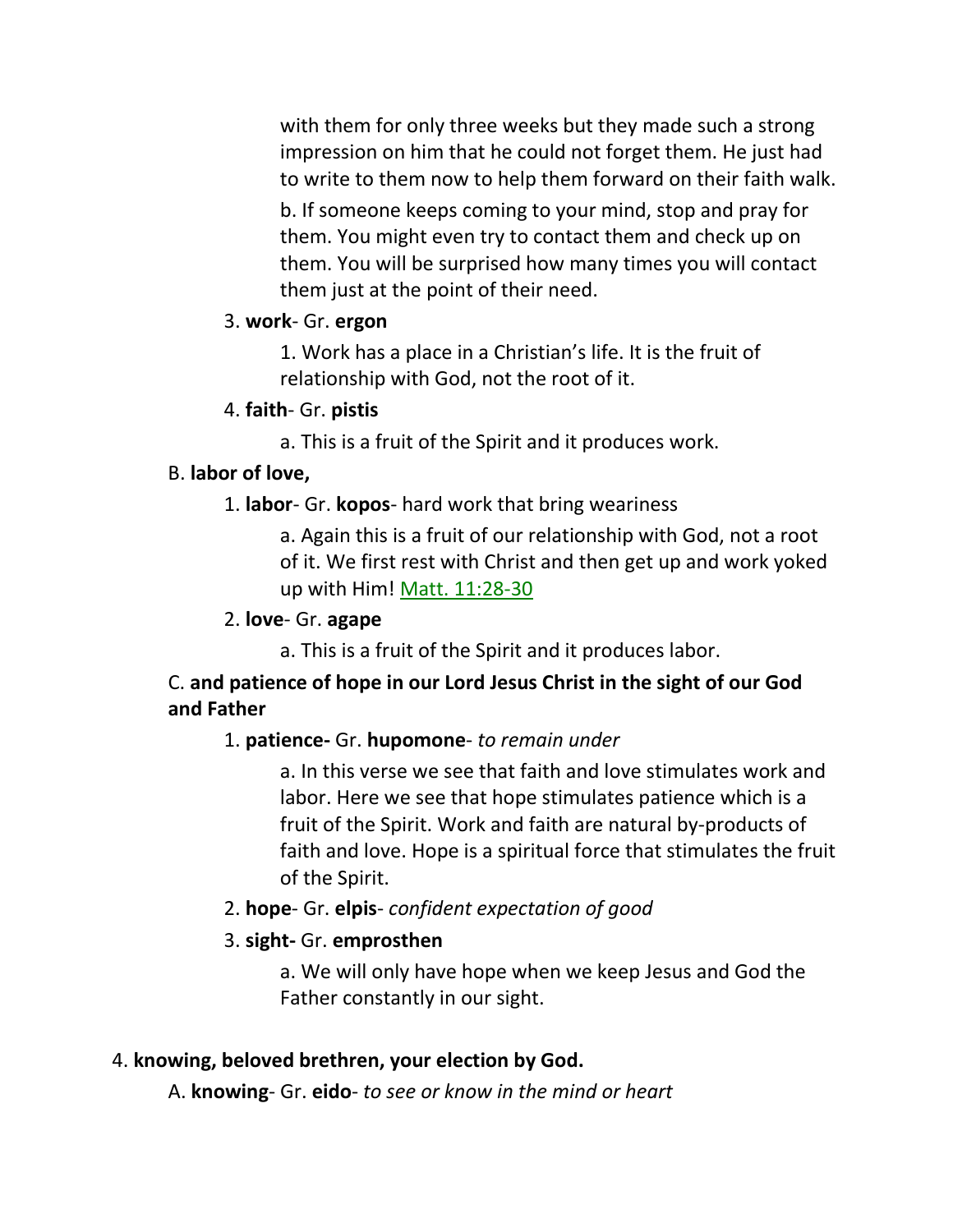with them for only three weeks but they made such a strong impression on him that he could not forget them. He just had to write to them now to help them forward on their faith walk.

b. If someone keeps coming to your mind, stop and pray for them. You might even try to contact them and check up on them. You will be surprised how many times you will contact them just at the point of their need.

#### 3. **work**- Gr. **ergon**

1. Work has a place in a Christian's life. It is the fruit of relationship with God, not the root of it.

#### 4. **faith**- Gr. **pistis**

a. This is a fruit of the Spirit and it produces work.

## B. **labor of love,**

1. **labor**- Gr. **kopos**- hard work that bring weariness

a. Again this is a fruit of our relationship with God, not a root of it. We first rest with Christ and then get up and work yoked up with Him! Matt. 11:28-30

#### 2. **love**- Gr. **agape**

a. This is a fruit of the Spirit and it produces labor.

# C. **and patience of hope in our Lord Jesus Christ in the sight of our God and Father**

## 1. **patience-** Gr. **hupomone**- *to remain under*

a. In this verse we see that faith and love stimulates work and labor. Here we see that hope stimulates patience which is a fruit of the Spirit. Work and faith are natural by-products of faith and love. Hope is a spiritual force that stimulates the fruit of the Spirit.

## 2. **hope**- Gr. **elpis**- *confident expectation of good*

## 3. **sight-** Gr. **emprosthen**

a. We will only have hope when we keep Jesus and God the Father constantly in our sight.

## 4. **knowing, beloved brethren, your election by God.**

A. **knowing**- Gr. **eido**- *to see or know in the mind or heart*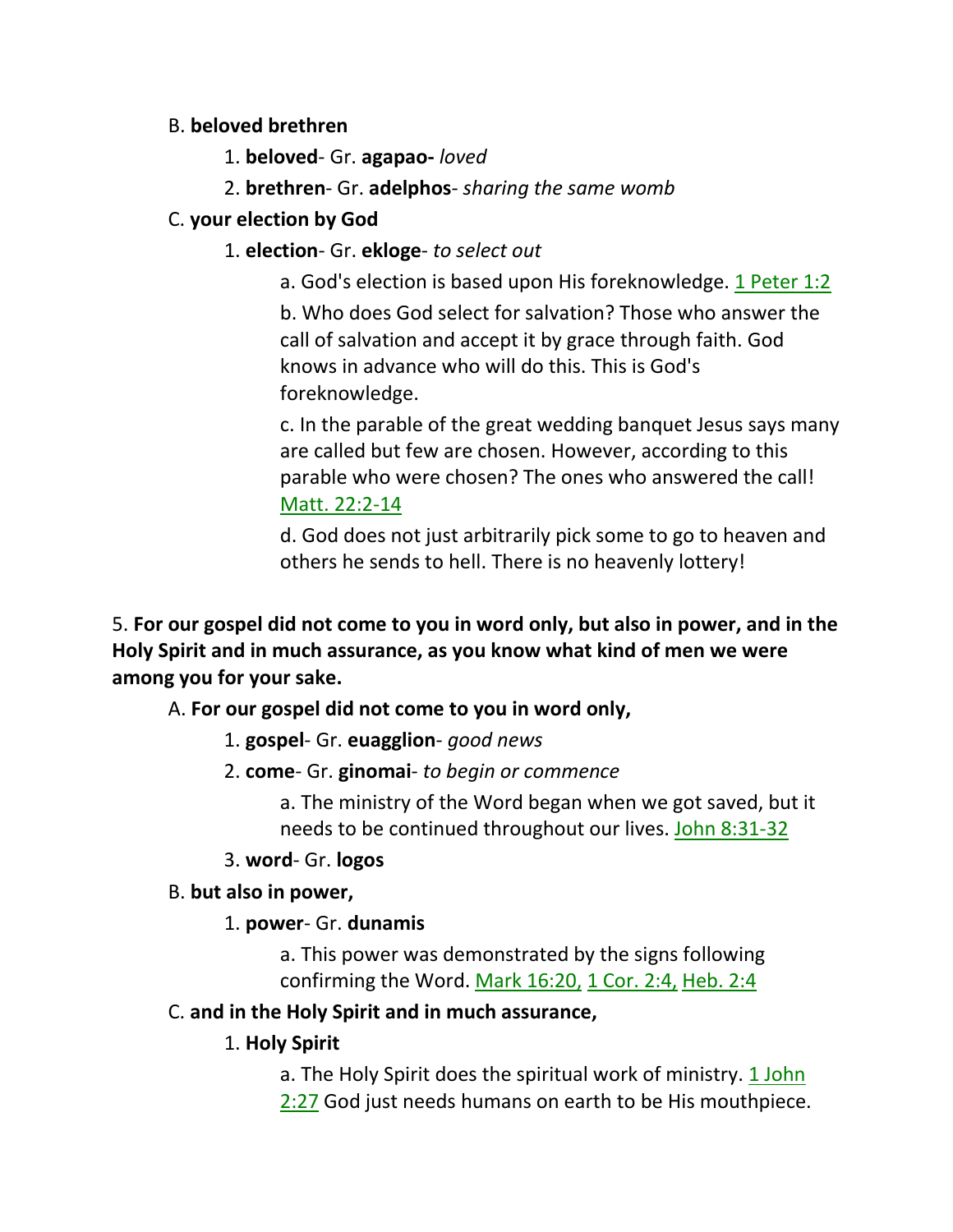## B. **beloved brethren**

- 1. **beloved** Gr. **agapao-** *loved*
- 2. **brethren** Gr. **adelphos** *sharing the same womb*

# C. **your election by God**

## 1. **election**- Gr. **ekloge**- *to select out*

a. God's election is based upon His foreknowledge. 1 Peter 1:2 b. Who does God select for salvation? Those who answer the call of salvation and accept it by grace through faith. God knows in advance who will do this. This is God's foreknowledge.

c. In the parable of the great wedding banquet Jesus says many are called but few are chosen. However, according to this parable who were chosen? The ones who answered the call! Matt. 22:2-14

d. God does not just arbitrarily pick some to go to heaven and others he sends to hell. There is no heavenly lottery!

5. **For our gospel did not come to you in word only, but also in power, and in the Holy Spirit and in much assurance, as you know what kind of men we were among you for your sake.** 

A. **For our gospel did not come to you in word only,**

1. **gospel**- Gr. **euagglion**- *good news*

2. **come**- Gr. **ginomai**- *to begin or commence*

a. The ministry of the Word began when we got saved, but it needs to be continued throughout our lives. John 8:31-32

3. **word**- Gr. **logos**

# B. **but also in power,**

# 1. **power**- Gr. **dunamis**

a. This power was demonstrated by the signs following confirming the Word. Mark 16:20, 1 Cor. 2:4, Heb. 2:4

# C. **and in the Holy Spirit and in much assurance,**

# 1. **Holy Spirit**

a. The Holy Spirit does the spiritual work of ministry. 1 John 2:27 God just needs humans on earth to be His mouthpiece.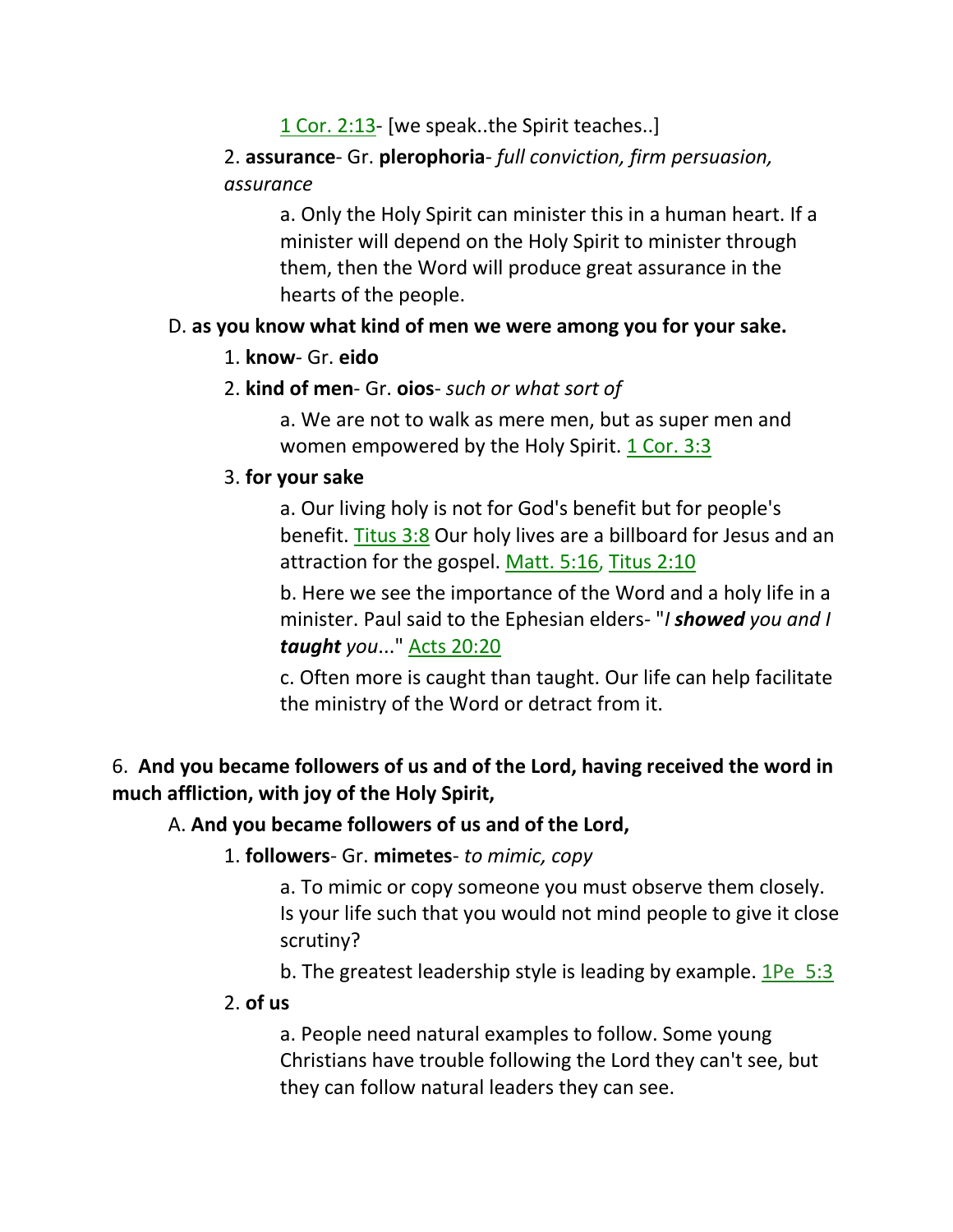# 1 Cor. 2:13- [we speak..the Spirit teaches..]

# 2. **assurance**- Gr. **plerophoria**- *full conviction, firm persuasion, assurance*

a. Only the Holy Spirit can minister this in a human heart. If a minister will depend on the Holy Spirit to minister through them, then the Word will produce great assurance in the hearts of the people.

## D. **as you know what kind of men we were among you for your sake.**

#### 1. **know**- Gr. **eido**

## 2. **kind of men**- Gr. **oios**- *such or what sort of*

a. We are not to walk as mere men, but as super men and women empowered by the Holy Spirit. 1 Cor. 3:3

## 3. **for your sake**

a. Our living holy is not for God's benefit but for people's benefit. Titus 3:8 Our holy lives are a billboard for Jesus and an attraction for the gospel. Matt. 5:16, Titus 2:10

b. Here we see the importance of the Word and a holy life in a minister. Paul said to the Ephesian elders- "*I showed you and I taught you*..." Acts 20:20

c. Often more is caught than taught. Our life can help facilitate the ministry of the Word or detract from it.

# 6. **And you became followers of us and of the Lord, having received the word in much affliction, with joy of the Holy Spirit,**

## A. **And you became followers of us and of the Lord,**

1. **followers**- Gr. **mimetes**- *to mimic, copy*

a. To mimic or copy someone you must observe them closely. Is your life such that you would not mind people to give it close scrutiny?

b. The greatest leadership style is leading by example.  $1\text{Pe}$  5:3

#### 2. **of us**

a. People need natural examples to follow. Some young Christians have trouble following the Lord they can't see, but they can follow natural leaders they can see.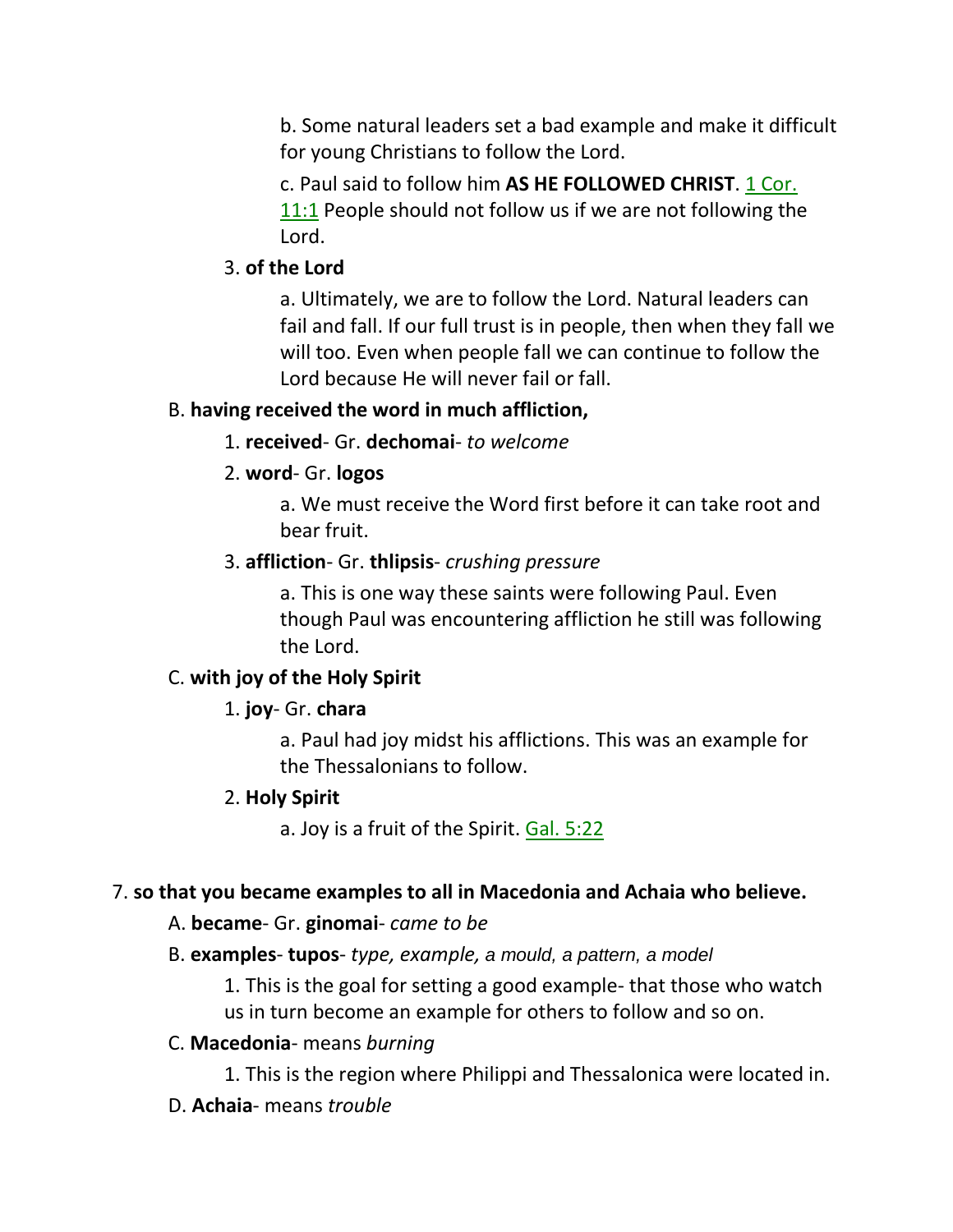b. Some natural leaders set a bad example and make it difficult for young Christians to follow the Lord.

c. Paul said to follow him **AS HE FOLLOWED CHRIST**. 1 Cor. 11:1 People should not follow us if we are not following the Lord.

## 3. **of the Lord**

a. Ultimately, we are to follow the Lord. Natural leaders can fail and fall. If our full trust is in people, then when they fall we will too. Even when people fall we can continue to follow the Lord because He will never fail or fall.

## B. **having received the word in much affliction,**

1. **received**- Gr. **dechomai**- *to welcome*

# 2. **word**- Gr. **logos**

a. We must receive the Word first before it can take root and bear fruit.

# 3. **affliction**- Gr. **thlipsis**- *crushing pressure*

a. This is one way these saints were following Paul. Even though Paul was encountering affliction he still was following the Lord.

# C. **with joy of the Holy Spirit**

# 1. **joy**- Gr. **chara**

a. Paul had joy midst his afflictions. This was an example for the Thessalonians to follow.

# 2. **Holy Spirit**

a. Joy is a fruit of the Spirit. Gal. 5:22

# 7. **so that you became examples to all in Macedonia and Achaia who believe.**

# A. **became**- Gr. **ginomai**- *came to be*

B. **examples**- **tupos**- *type, example, a mould, a pattern, a model*

1. This is the goal for setting a good example- that those who watch us in turn become an example for others to follow and so on.

# C. **Macedonia**- means *burning*

- 1. This is the region where Philippi and Thessalonica were located in.
- D. **Achaia** means *trouble*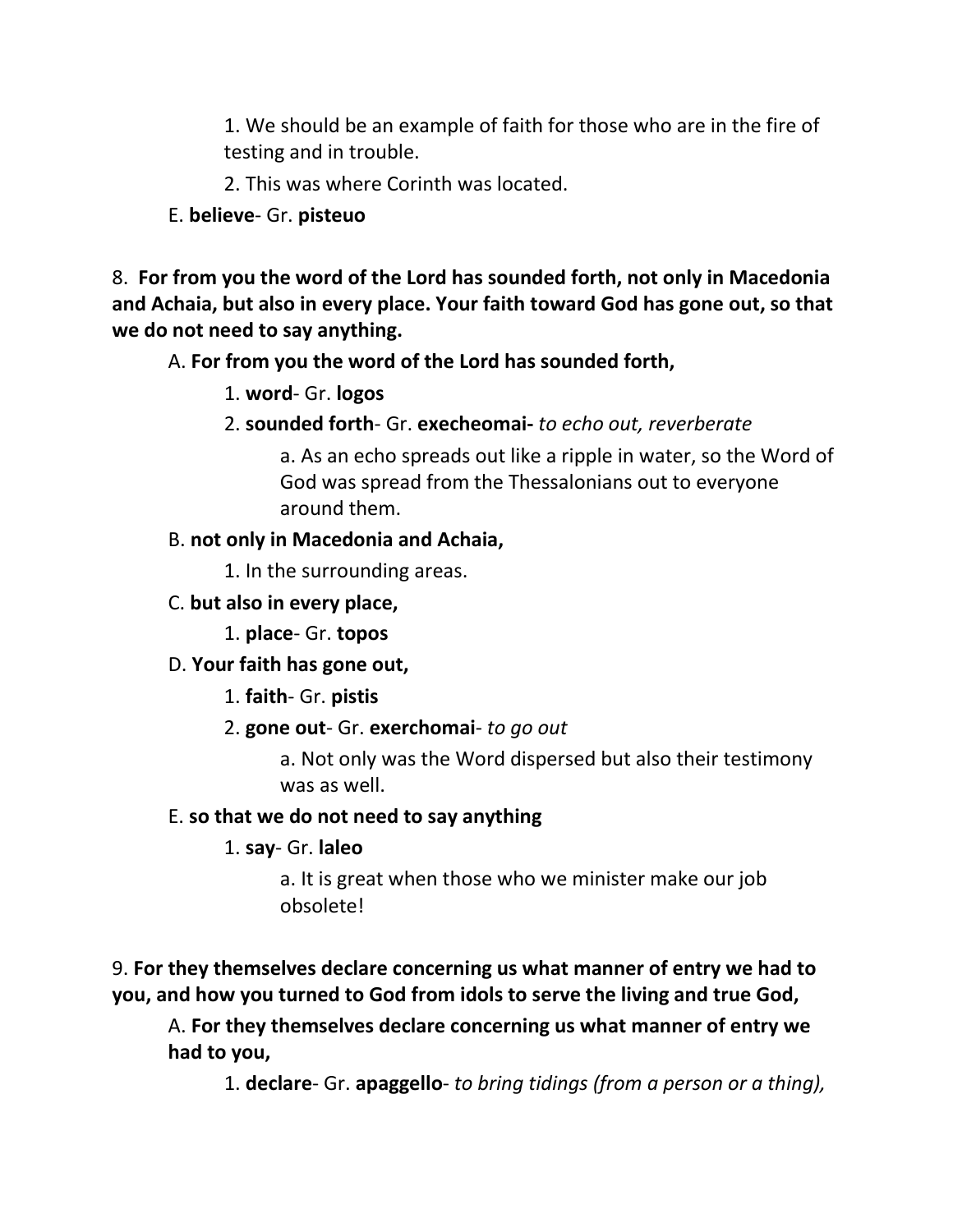1. We should be an example of faith for those who are in the fire of testing and in trouble.

2. This was where Corinth was located.

E. **believe**- Gr. **pisteuo**

8. **For from you the word of the Lord has sounded forth, not only in Macedonia and Achaia, but also in every place. Your faith toward God has gone out, so that we do not need to say anything.**

A. **For from you the word of the Lord has sounded forth,**

- 1. **word** Gr. **logos**
- 2. **sounded forth** Gr. **execheomai-** *to echo out, reverberate*

a. As an echo spreads out like a ripple in water, so the Word of God was spread from the Thessalonians out to everyone around them.

#### B. **not only in Macedonia and Achaia,**

1. In the surrounding areas.

C. **but also in every place,**

1. **place**- Gr. **topos**

#### D. **Your faith has gone out,**

1. **faith**- Gr. **pistis**

2. **gone out**- Gr. **exerchomai**- *to go out*

a. Not only was the Word dispersed but also their testimony was as well.

#### E. **so that we do not need to say anything**

## 1. **say**- Gr. **laleo**

a. It is great when those who we minister make our job obsolete!

9. **For they themselves declare concerning us what manner of entry we had to you, and how you turned to God from idols to serve the living and true God,** 

A. **For they themselves declare concerning us what manner of entry we had to you,**

1. **declare**- Gr. **apaggello**- *to bring tidings (from a person or a thing),*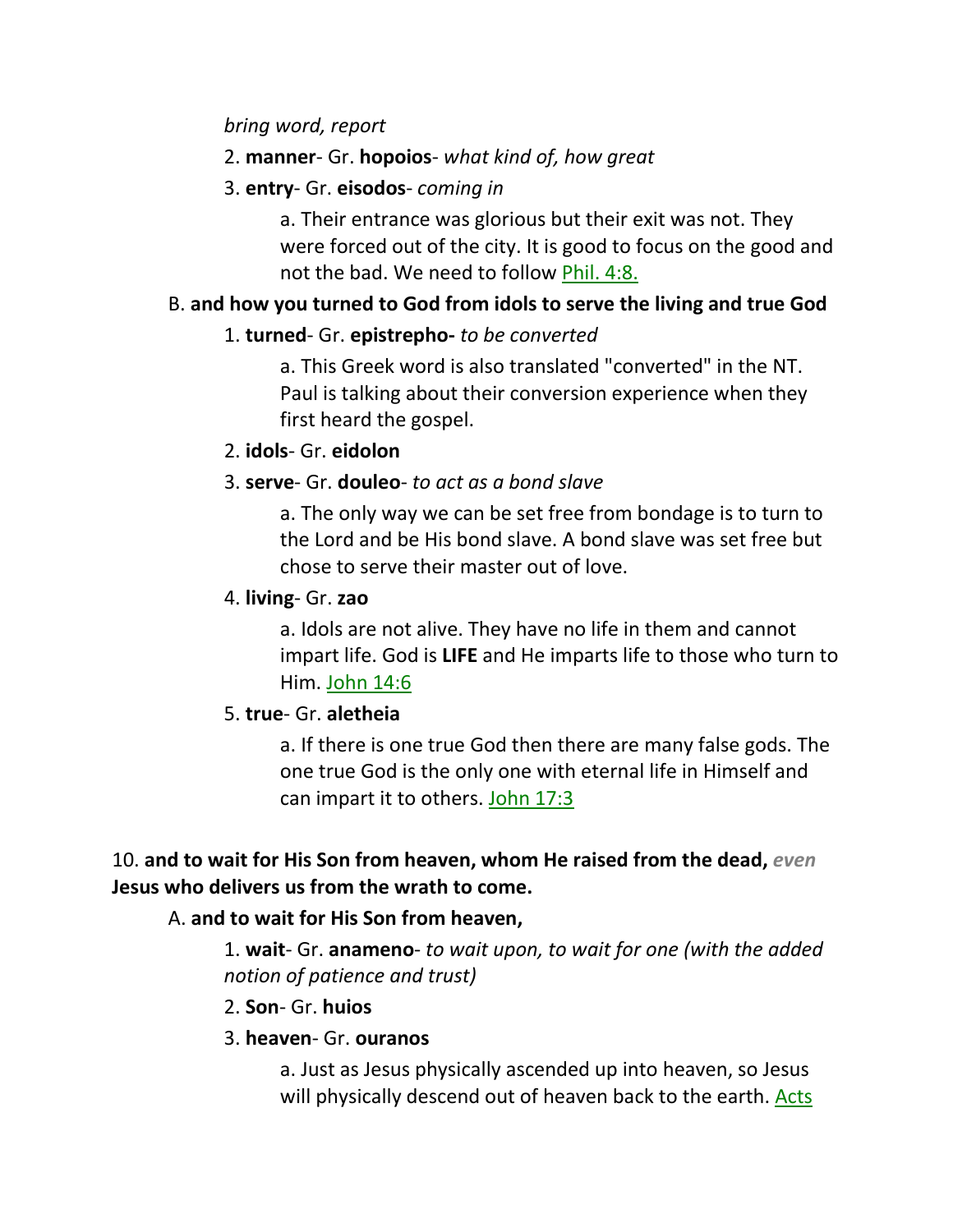#### *bring word, report*

#### 2. **manner**- Gr. **hopoios**- *what kind of, how great*

#### 3. **entry**- Gr. **eisodos**- *coming in*

a. Their entrance was glorious but their exit was not. They were forced out of the city. It is good to focus on the good and not the bad. We need to follow Phil. 4:8.

## B. **and how you turned to God from idols to serve the living and true God**

#### 1. **turned**- Gr. **epistrepho-** *to be converted*

a. This Greek word is also translated "converted" in the NT. Paul is talking about their conversion experience when they first heard the gospel.

#### 2. **idols**- Gr. **eidolon**

## 3. **serve**- Gr. **douleo**- *to act as a bond slave*

a. The only way we can be set free from bondage is to turn to the Lord and be His bond slave. A bond slave was set free but chose to serve their master out of love.

#### 4. **living**- Gr. **zao**

a. Idols are not alive. They have no life in them and cannot impart life. God is **LIFE** and He imparts life to those who turn to Him. John 14:6

#### 5. **true**- Gr. **aletheia**

a. If there is one true God then there are many false gods. The one true God is the only one with eternal life in Himself and can impart it to others. John 17:3

## 10. **and to wait for His Son from heaven, whom He raised from the dead,** *even* **Jesus who delivers us from the wrath to come.**

## A. **and to wait for His Son from heaven,**

1. **wait**- Gr. **anameno**- *to wait upon, to wait for one (with the added notion of patience and trust)*

#### 2. **Son**- Gr. **huios**

#### 3. **heaven**- Gr. **ouranos**

a. Just as Jesus physically ascended up into heaven, so Jesus will physically descend out of heaven back to the earth. Acts